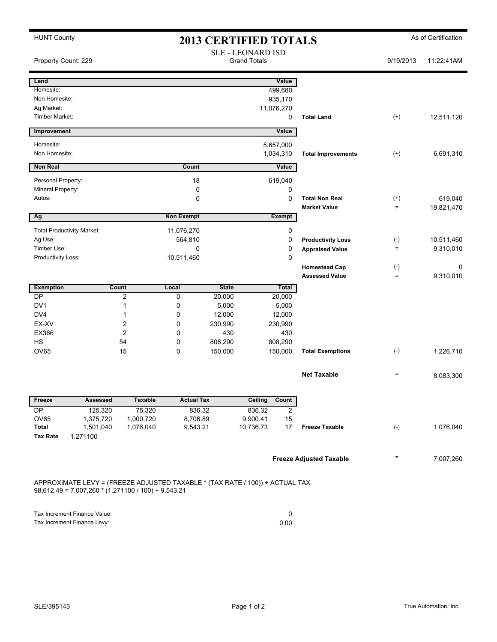| <b>HUNT County</b><br><b>2013 CERTIFIED TOTALS</b>                                                                                    |                                                 |                |                       |              |                       |                |                                | As of Certification |            |
|---------------------------------------------------------------------------------------------------------------------------------------|-------------------------------------------------|----------------|-----------------------|--------------|-----------------------|----------------|--------------------------------|---------------------|------------|
| Property Count: 229                                                                                                                   | <b>SLE - LEONARD ISD</b><br><b>Grand Totals</b> |                |                       |              |                       |                |                                | 9/19/2013           | 11:22:41AM |
| Land                                                                                                                                  |                                                 |                |                       |              |                       | Value          |                                |                     |            |
| Homesite:                                                                                                                             |                                                 |                |                       |              |                       | 499,680        |                                |                     |            |
| Non Homesite:                                                                                                                         |                                                 |                |                       |              |                       | 935,170        |                                |                     |            |
| Ag Market:                                                                                                                            |                                                 |                |                       |              |                       | 11,076,270     |                                |                     |            |
| Timber Market:                                                                                                                        |                                                 |                |                       |              |                       | 0              | <b>Total Land</b>              | $^{(+)}$            | 12,511,120 |
| Improvement                                                                                                                           |                                                 |                |                       |              |                       | Value          |                                |                     |            |
| Homesite:                                                                                                                             |                                                 |                |                       |              |                       | 5,657,000      |                                |                     |            |
| Non Homesite:                                                                                                                         |                                                 |                |                       |              |                       | 1,034,310      | <b>Total Improvements</b>      | $^{(+)}$            | 6,691,310  |
| <b>Non Real</b>                                                                                                                       |                                                 |                | Count                 |              |                       | Value          |                                |                     |            |
|                                                                                                                                       |                                                 |                |                       |              |                       |                |                                |                     |            |
| Personal Property:<br>Mineral Property:                                                                                               |                                                 |                | 18<br>0               |              |                       | 619,040<br>0   |                                |                     |            |
| Autos:                                                                                                                                |                                                 |                | 0                     |              |                       | $\mathbf 0$    | <b>Total Non Real</b>          | $^{(+)}$            | 619,040    |
|                                                                                                                                       |                                                 |                |                       |              |                       |                | <b>Market Value</b>            | $=$                 | 19,821,470 |
| Ag                                                                                                                                    |                                                 |                | <b>Non Exempt</b>     |              |                       | <b>Exempt</b>  |                                |                     |            |
| <b>Total Productivity Market:</b>                                                                                                     |                                                 |                |                       |              |                       | 0              |                                |                     |            |
| Ag Use:                                                                                                                               |                                                 |                | 11,076,270<br>564,810 |              |                       | 0              | <b>Productivity Loss</b>       | $(-)$               | 10,511,460 |
| Timber Use:                                                                                                                           |                                                 |                | 0                     |              |                       | 0              | <b>Appraised Value</b>         | $=$                 | 9,310,010  |
| Productivity Loss:                                                                                                                    |                                                 |                | 10,511,460            |              |                       | 0              |                                |                     |            |
|                                                                                                                                       |                                                 |                |                       |              |                       |                | <b>Homestead Cap</b>           | $(\cdot)$           | 0          |
|                                                                                                                                       |                                                 |                |                       |              |                       |                | <b>Assessed Value</b>          | $\qquad \qquad =$   | 9,310,010  |
| <b>Exemption</b>                                                                                                                      | <b>Count</b>                                    |                | Local                 | <b>State</b> |                       | <b>Total</b>   |                                |                     |            |
| DP                                                                                                                                    |                                                 | $\overline{c}$ | 0                     | 20,000       |                       | 20,000         |                                |                     |            |
| DV <sub>1</sub>                                                                                                                       | $\mathbf{1}$                                    |                | 0                     | 5,000        |                       | 5,000          |                                |                     |            |
| DV <sub>4</sub>                                                                                                                       | 1                                               |                | 0                     | 12,000       |                       | 12,000         |                                |                     |            |
| EX-XV                                                                                                                                 |                                                 | $\overline{2}$ | 0                     | 230,990      | 230,990               |                |                                |                     |            |
| EX366                                                                                                                                 |                                                 | $\overline{c}$ | 0                     | 430          | 430                   |                |                                |                     |            |
| <b>HS</b>                                                                                                                             | 54                                              |                | 0                     | 808,290      | 808,290               |                |                                |                     |            |
| <b>OV65</b>                                                                                                                           | 15                                              |                | 0                     | 150,000      | 150,000               |                | <b>Total Exemptions</b>        | $(-)$               | 1,226,710  |
|                                                                                                                                       |                                                 |                |                       |              |                       |                | <b>Net Taxable</b>             | $=$                 | 8,083,300  |
|                                                                                                                                       |                                                 |                |                       |              |                       |                |                                |                     |            |
| Freeze                                                                                                                                | <b>Assessed</b>                                 | <b>Taxable</b> | <b>Actual Tax</b>     |              | <b>Ceiling</b>        | Count          |                                |                     |            |
| DP                                                                                                                                    | 125,320                                         | 75,320         | 836.32                |              | 836.32                | $\overline{2}$ |                                |                     |            |
| OV65<br>Total                                                                                                                         | 1,375,720                                       | 1,000,720      | 8,706.89              |              | 9,900.41<br>10,736.73 | 15<br>17       | <b>Freeze Taxable</b>          | $(-)$               |            |
| <b>Tax Rate</b><br>1.271100                                                                                                           | 1,501,040                                       | 1,076,040      | 9,543.21              |              |                       |                |                                |                     | 1,076,040  |
|                                                                                                                                       |                                                 |                |                       |              |                       |                |                                |                     |            |
|                                                                                                                                       |                                                 |                |                       |              |                       |                | <b>Freeze Adjusted Taxable</b> | Ξ                   | 7,007,260  |
| APPROXIMATE LEVY = (FREEZE ADJUSTED TAXABLE * (TAX RATE / 100)) + ACTUAL TAX<br>$98,612.49 = 7,007,260 * (1.271100 / 100) + 9,543.21$ |                                                 |                |                       |              |                       |                |                                |                     |            |
|                                                                                                                                       |                                                 |                |                       |              |                       |                |                                |                     |            |
| Tax Increment Finance Value:<br>Tax Increment Finance Levy:                                                                           |                                                 |                |                       |              | 0<br>0.00             |                |                                |                     |            |

| $1a \wedge 11c$ chicked in an $c$ value. |      |
|------------------------------------------|------|
| Tax Increment Finance Levy:              | 0.00 |